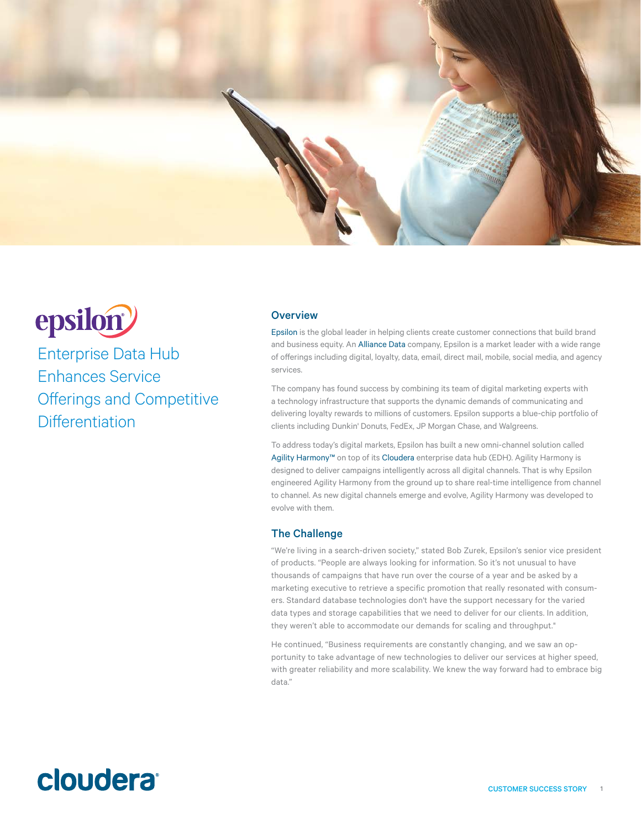

# epsilon<sup>2</sup>

Enterprise Data Hub Enhances Service Offerings and Competitive **Differentiation** 

## **Overview**

[Epsilon](http://www.epsilon.com) is the global leader in helping clients create customer connections that build brand and business equity. An [Alliance Data](http://www.AllianceData.com) company, Epsilon is a market leader with a wide range of offerings including digital, loyalty, data, email, direct mail, mobile, social media, and agency services.

The company has found success by combining its team of digital marketing experts with a technology infrastructure that supports the dynamic demands of communicating and delivering loyalty rewards to millions of customers. Epsilon supports a blue-chip portfolio of clients including Dunkin' Donuts, FedEx, JP Morgan Chase, and Walgreens.

To address today's digital markets, Epsilon has built a new omni-channel solution called [Agility Harmony™](http://www.agilityharmony.com) on top of its [Cloudera](http://www.cloudera.com/content/cloudera/en/home.html) enterprise data hub (EDH). Agility Harmony is designed to deliver campaigns intelligently across all digital channels. That is why Epsilon engineered Agility Harmony from the ground up to share real-time intelligence from channel to channel. As new digital channels emerge and evolve, Agility Harmony was developed to evolve with them.

### The Challenge

"We're living in a search-driven society," stated Bob Zurek, Epsilon's senior vice president of products. "People are always looking for information. So it's not unusual to have thousands of campaigns that have run over the course of a year and be asked by a marketing executive to retrieve a specific promotion that really resonated with consumers. Standard database technologies don't have the support necessary for the varied data types and storage capabilities that we need to deliver for our clients. In addition, they weren't able to accommodate our demands for scaling and throughput."

He continued, "Business requirements are constantly changing, and we saw an opportunity to take advantage of new technologies to deliver our services at higher speed, with greater reliability and more scalability. We knew the way forward had to embrace big data."

## **cloudera**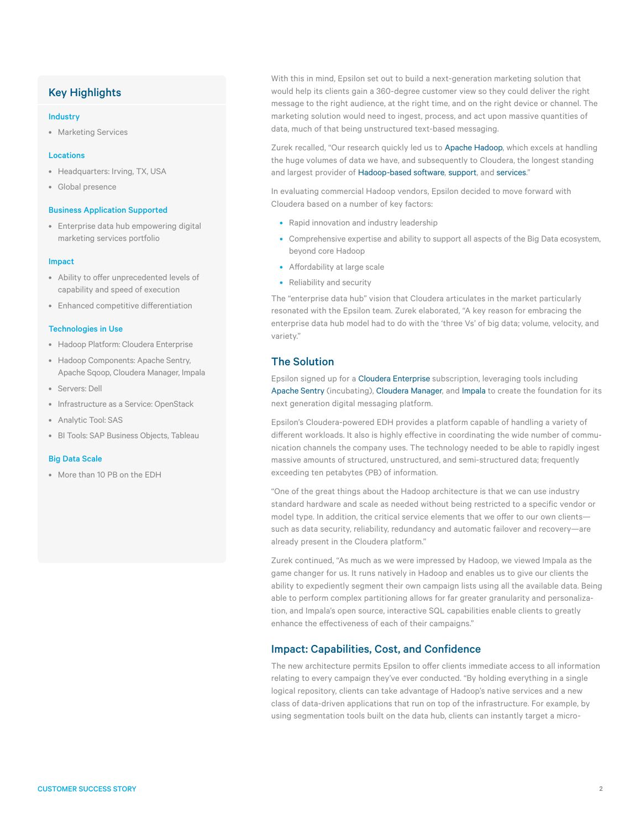## Key Highlights

#### Industry

• Marketing Services

#### Locations

- Headquarters: Irving, TX, USA
- Global presence

#### Business Application Supported

• Enterprise data hub empowering digital marketing services portfolio

#### Impact

- Ability to offer unprecedented levels of capability and speed of execution
- Enhanced competitive differentiation

#### Technologies in Use

- Hadoop Platform: Cloudera Enterprise
- Hadoop Components: Apache Sentry, Apache Sqoop, Cloudera Manager, Impala
- Servers: Dell
- Infrastructure as a Service: OpenStack
- Analytic Tool: SAS
- BI Tools: SAP Business Objects, Tableau

#### Big Data Scale

• More than 10 PB on the EDH

With this in mind, Epsilon set out to build a next-generation marketing solution that would help its clients gain a 360-degree customer view so they could deliver the right message to the right audience, at the right time, and on the right device or channel. The marketing solution would need to ingest, process, and act upon massive quantities of data, much of that being unstructured text-based messaging.

Zurek recalled, "Our research quickly led us to [Apache Hadoop](http://www.cloudera.com/content/cloudera/en/about/hadoop-and-big-data.html), which excels at handling the huge volumes of data we have, and subsequently to Cloudera, the longest standing and largest provider of [Hadoop-based software,](http://www.cloudera.com/content/cloudera/en/products-and-services/cloudera-enterprise.html) [support](http://www.cloudera.com/content/cloudera/en/products-and-services/cloudera-support.html), and [services.](http://www.cloudera.com/content/cloudera/en/products-and-services/professional-services.html)"

In evaluating commercial Hadoop vendors, Epsilon decided to move forward with Cloudera based on a number of key factors:

- Rapid innovation and industry leadership
- Comprehensive expertise and ability to support all aspects of the Big Data ecosystem, beyond core Hadoop
- Affordability at large scale
- Reliability and security

The "enterprise data hub" vision that Cloudera articulates in the market particularly resonated with the Epsilon team. Zurek elaborated, "A key reason for embracing the enterprise data hub model had to do with the 'three Vs' of big data; volume, velocity, and variety."

## The Solution

Epsilon signed up for a [Cloudera Enterprise](http://www.cloudera.com/content/cloudera/en/products-and-services/cloudera-enterprise.html) subscription, leveraging tools including [Apache Sentry](http://www.cloudera.com/content/cloudera/en/products-and-services/cdh/sentry.html) (incubating), [Cloudera Manager](http://www.cloudera.com/content/cloudera/en/products-and-services/cloudera-enterprise/cloudera-manager.html), and [Impala](http://www.cloudera.com/content/cloudera/en/products-and-services/cdh/impala.html) to create the foundation for its next generation digital messaging platform.

Epsilon's Cloudera-powered EDH provides a platform capable of handling a variety of different workloads. It also is highly effective in coordinating the wide number of communication channels the company uses. The technology needed to be able to rapidly ingest massive amounts of structured, unstructured, and semi-structured data; frequently exceeding ten petabytes (PB) of information.

"One of the great things about the Hadoop architecture is that we can use industry standard hardware and scale as needed without being restricted to a specific vendor or model type. In addition, the critical service elements that we offer to our own clients such as data security, reliability, redundancy and automatic failover and recovery—are already present in the Cloudera platform."

Zurek continued, "As much as we were impressed by Hadoop, we viewed Impala as the game changer for us. It runs natively in Hadoop and enables us to give our clients the ability to expediently segment their own campaign lists using all the available data. Being able to perform complex partitioning allows for far greater granularity and personalization, and Impala's open source, interactive SQL capabilities enable clients to greatly enhance the effectiveness of each of their campaigns."

### Impact: Capabilities, Cost, and Confidence

The new architecture permits Epsilon to offer clients immediate access to all information relating to every campaign they've ever conducted. "By holding everything in a single logical repository, clients can take advantage of Hadoop's native services and a new class of data-driven applications that run on top of the infrastructure. For example, by using segmentation tools built on the data hub, clients can instantly target a micro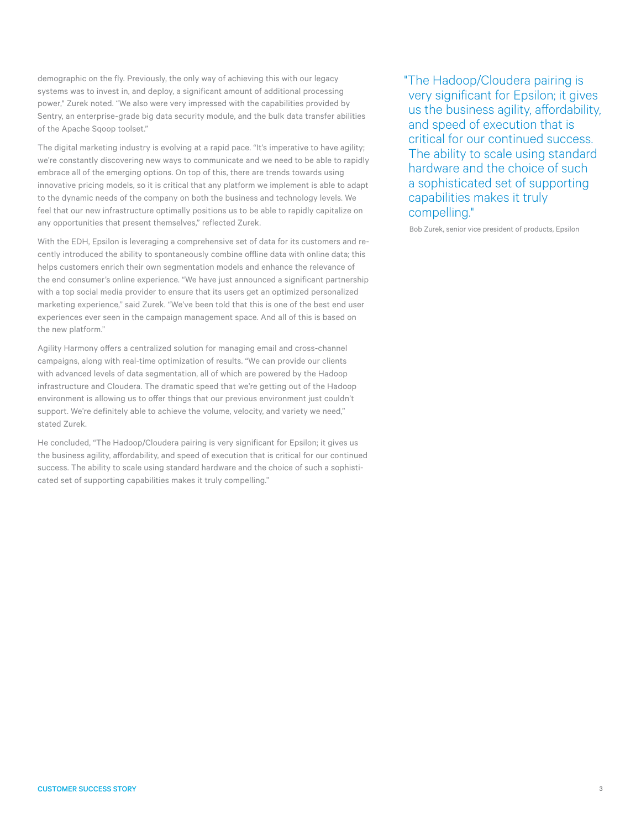demographic on the fly. Previously, the only way of achieving this with our legacy systems was to invest in, and deploy, a significant amount of additional processing power," Zurek noted. "We also were very impressed with the capabilities provided by Sentry, an enterprise-grade big data security module, and the bulk data transfer abilities of the Apache Sqoop toolset."

The digital marketing industry is evolving at a rapid pace. "It's imperative to have agility; we're constantly discovering new ways to communicate and we need to be able to rapidly embrace all of the emerging options. On top of this, there are trends towards using innovative pricing models, so it is critical that any platform we implement is able to adapt to the dynamic needs of the company on both the business and technology levels. We feel that our new infrastructure optimally positions us to be able to rapidly capitalize on any opportunities that present themselves," reflected Zurek.

With the EDH, Epsilon is leveraging a comprehensive set of data for its customers and recently introduced the ability to spontaneously combine offline data with online data; this helps customers enrich their own segmentation models and enhance the relevance of the end consumer's online experience. "We have just announced a significant partnership with a top social media provider to ensure that its users get an optimized personalized marketing experience," said Zurek. "We've been told that this is one of the best end user experiences ever seen in the campaign management space. And all of this is based on the new platform."

Agility Harmony offers a centralized solution for managing email and cross-channel campaigns, along with real-time optimization of results. "We can provide our clients with advanced levels of data segmentation, all of which are powered by the Hadoop infrastructure and Cloudera. The dramatic speed that we're getting out of the Hadoop environment is allowing us to offer things that our previous environment just couldn't support. We're definitely able to achieve the volume, velocity, and variety we need," stated Zurek.

He concluded, "The Hadoop/Cloudera pairing is very significant for Epsilon; it gives us the business agility, affordability, and speed of execution that is critical for our continued success. The ability to scale using standard hardware and the choice of such a sophisticated set of supporting capabilities makes it truly compelling."

"The Hadoop/Cloudera pairing is very significant for Epsilon; it gives us the business agility, affordability, and speed of execution that is critical for our continued success. The ability to scale using standard hardware and the choice of such a sophisticated set of supporting capabilities makes it truly compelling."

Bob Zurek, senior vice president of products, Epsilon